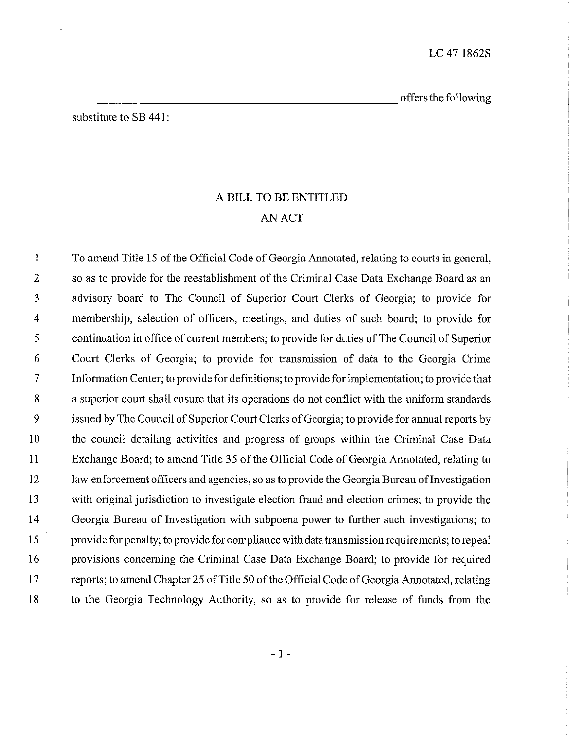offers the following

substitute to SB 441:

# ABILL TO BE ENTITLED AN ACT

 Toamend Title I5 of the Official CodeofGeorgia Annotated, relating to courts in general, 2 so as to provide for the reestablishment of the Criminal Case Data Exchange Board as an advisory board to The Council of Superior Court Clerks of Georgia; to provide for membership, selection of officers, meetings, and duties of such board; to provide for 5 continuation in office of current members; to provide for duties of The Council of Superior Court Clerks of Georgia; to provide for transmission of data to the Georgia Crime Information Center; to provide for definitions; to provide forimplementation; to provide that a superior court shall ensure that its operations do not conflict with the uniform standards 9 issued by The Council of Superior Court Clerks of Georgia; to provide for annual reports by the council detailing activities and progress of groups within the Criminal Case Data Exchange Board; to amend Title 35of the Oficial CodeofGeorgia Annotated, relating to 12 law enforcement officers and agencies, so as to provide the Georgia Bureau of Investigation with original jurisdiction to investigate election fraud and election crimes; to provide the Georgia Bureau of Investigation with subpoena power to further such investigations; to 15 provide for penalty; to provide for compliance with data transmission requirements; to repeal provisions concerning the Criminal Case Data Exchange Board; to provide for required 17 reports; to amend Chapter 25 of Title 50 of the Official Code of Georgia Annotated, relating to the Georgia Technology Authority, so as to provide for release of funds from the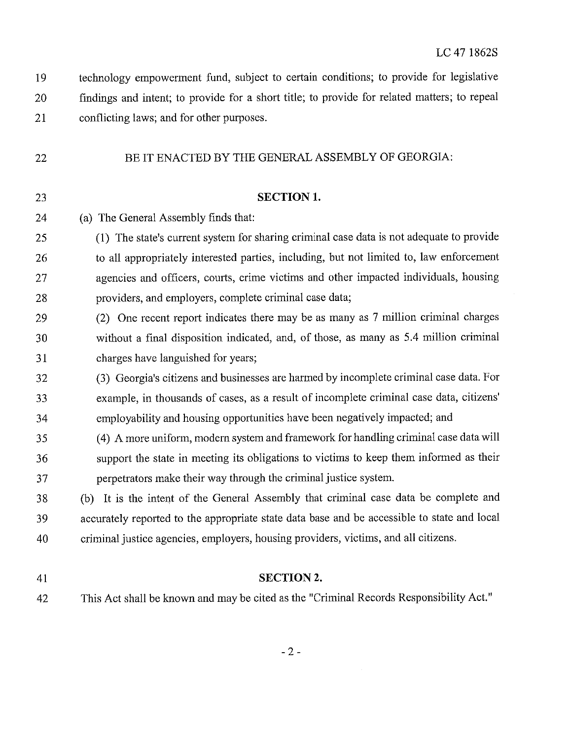technology empowerment fund, subject to certain conditions; to provide for legislative findings and intent; to provide for a short title; to provide for related matters; to repeal conflicting laws; and for other purposes.

#### 22 BE IT ENACTED BY THE GENERAL ASSEMBLY OF GEORGIA:

### 23 SECTION 1.

- (a) The General Assembly finds that:
- (1) The state's current system for sharing criminal case data is not adequate to provide 26 to all appropriately interested parties, including, but not limited to, law enforcement agencies and officers, courts, crime victims and other impacted individuals, housing 28 providers, and employers, complete criminal case data;
- (2) One recent report indicates there may be as many as 7 million criminal charges without a final disposition indicated, and, of those, as many as 5.4 million criminal charges have languished for years;
- (3) Georgia's citizens and businesses are harmed by incomplete criminal case data. For 33 example, in thousands of cases, as a result of incomplete criminal case data, citizens' employability and housing opportunities have been negatively impacted; and
- (4) A more uniform, moder system and framework for handling criminal case data will support the state in meeting its obligations to victims to keep them informed as their 'perpetrators make their way through the criminal justice system.
- (b) Itis the intent of the General Assembly that criminal case data be complete and accurately reported to the appropriate state data base and be accessible to state and local criminal justice agencies, employers, housing providers, victims, and all citizens.
- 

### 41 SECTION 2.

This Act shall be known and may be cited as the "Criminal Records Responsibility Act."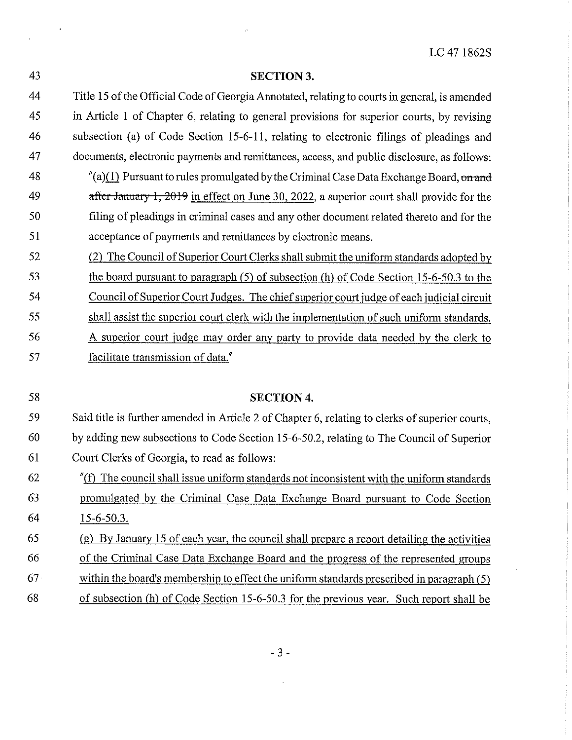43 SECTION 3. 44 Tile 15ofthe Official CodeofGeorgia Annotated, relating to courts in general, is amended 45 in Article 1 of Chapter 6, relating to general provisions for superior courts, by revising 46 subsection (a) of Code Section 15-6-11, relating to electronic filings of pleadings and 47 documents, electronic payments and remittances, access, and public disclosure, as follows: 48  $\gamma$  (a)(1) Pursuant to rules promulgated by the Criminal Case Data Exchange Board, on and 49 after January 1, 2019 in effect on June 30, 2022, a superior court shall provide for the 50 filing of pleadings in criminal cases and any other document related thereto and for the 51 acceptance of payments and remittances by electronic means. 52 (2) The Council of Superior Court Clerks shall submit the uniform standards adopted by 53 the board pursuant to paragraph (5) of subsection (h) of Code Section 15-6-50.3 to the 54 Council of Superior Court Judges. Thechief superior court judgeof each judicial circuit 55 shall assist the superior court clerk with the implementation of such uniform standards. 56 A superior court judge may order any party to provide data needed by the clerk to 57 facilitate transmission of data."

58 SECTION 4. 59 Said title is further amended in Article 2 of Chapter 6, relating to clerks of superior courts, byadding new subsections to Code Section 15-6-50.2, relating to The Councilof Superior Court Clerks of Georgia, to read as follows: "(f) The council shall issue uniform standards not inconsistent with the uniform standards 63 https://wrongated.org/br/ by the Criminal Case Data Exchange Board pursuant to Code Section 15:6:503, (2) By January 15 of each year, the council shall prepare a report detailing the activities of the Criminal Case Data Exchange Board and the progress of the represented groups within the board's membership to effect the uniform standards prescribed in paragraph (5) of subsection (h)of Code Section 15-6-50.3 for the previous year. Such report shall be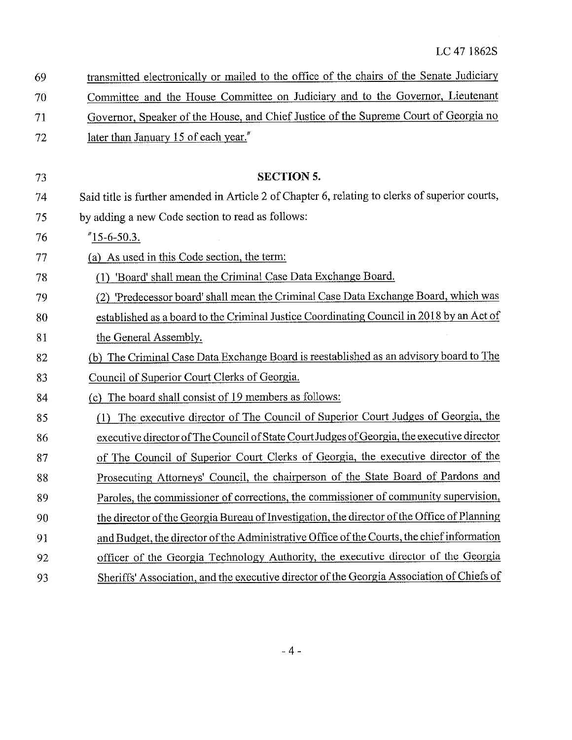| 69 | transmitted electronically or mailed to the office of the chairs of the Senate Judiciary        |
|----|-------------------------------------------------------------------------------------------------|
| 70 | Committee and the House Committee on Judiciary and to the Governor, Lieutenant                  |
| 71 | Governor, Speaker of the House, and Chief Justice of the Supreme Court of Georgia no            |
| 72 | later than January 15 of each year."                                                            |
|    |                                                                                                 |
| 73 | <b>SECTION 5.</b>                                                                               |
| 74 | Said title is further amended in Article 2 of Chapter 6, relating to clerks of superior courts, |
| 75 | by adding a new Code section to read as follows:                                                |
| 76 | $"15-6-50.3.$                                                                                   |
| 77 | (a) As used in this Code section, the term:                                                     |
| 78 | (1) 'Board' shall mean the Criminal Case Data Exchange Board.                                   |
| 79 | (2) 'Predecessor board' shall mean the Criminal Case Data Exchange Board, which was             |
| 80 | established as a board to the Criminal Justice Coordinating Council in 2018 by an Act of        |
| 81 | the General Assembly.                                                                           |
| 82 | (b) The Criminal Case Data Exchange Board is reestablished as an advisory board to The          |
| 83 | Council of Superior Court Clerks of Georgia.                                                    |
| 84 | (c) The board shall consist of 19 members as follows:                                           |
| 85 | The executive director of The Council of Superior Court Judges of Georgia, the<br>(1)           |
| 86 | executive director of The Council of State Court Judges of Georgia, the executive director      |
| 87 | of The Council of Superior Court Clerks of Georgia, the executive director of the               |
| 88 | Prosecuting Attorneys' Council, the chairperson of the State Board of Pardons and               |
| 89 | Paroles, the commissioner of corrections, the commissioner of community supervision,            |
| 90 | the director of the Georgia Bureau of Investigation, the director of the Office of Planning     |
| 91 | and Budget, the director of the Administrative Office of the Courts, the chief information      |
| 92 | officer of the Georgia Technology Authority, the executive director of the Georgia              |
| 93 | Sheriffs' Association, and the executive director of the Georgia Association of Chiefs of       |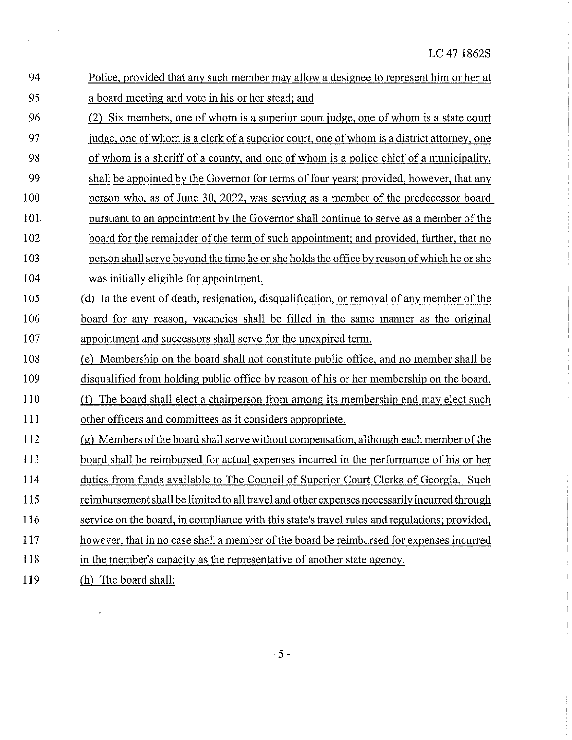$\hat{x}$ 

| 94  | Police, provided that any such member may allow a designee to represent him or her at         |
|-----|-----------------------------------------------------------------------------------------------|
| 95  | a board meeting and vote in his or her stead; and                                             |
| 96  | Six members, one of whom is a superior court judge, one of whom is a state court              |
| 97  | judge, one of whom is a clerk of a superior court, one of whom is a district attorney, one    |
| 98  | of whom is a sheriff of a county, and one of whom is a police chief of a municipality,        |
| 99  | shall be appointed by the Governor for terms of four years; provided, however, that any       |
| 100 | person who, as of June 30, 2022, was serving as a member of the predecessor board             |
| 101 | pursuant to an appointment by the Governor shall continue to serve as a member of the         |
| 102 | board for the remainder of the term of such appointment; and provided, further, that no       |
| 103 | person shall serve beyond the time he or she holds the office by reason of which he or she    |
| 104 | was initially eligible for appointment.                                                       |
| 105 | In the event of death, resignation, disqualification, or removal of any member of the<br>(d)  |
| 106 | board for any reason, vacancies shall be filled in the same manner as the original            |
|     |                                                                                               |
| 107 | appointment and successors shall serve for the unexpired term.                                |
| 108 | Membership on the board shall not constitute public office, and no member shall be<br>(e)     |
| 109 | disqualified from holding public office by reason of his or her membership on the board.      |
| 110 | The board shall elect a chairperson from among its membership and may elect such<br>(f)       |
| 111 | other officers and committees as it considers appropriate.                                    |
| 112 | (g) Members of the board shall serve without compensation, although each member of the        |
| 113 | board shall be reimbursed for actual expenses incurred in the performance of his or her       |
| 114 | duties from funds available to The Council of Superior Court Clerks of Georgia. Such          |
| 115 | reimbursement shall be limited to all travel and other expenses necessarily incurred through  |
| 116 | service on the board, in compliance with this state's travel rules and regulations; provided, |
| 117 | however, that in no case shall a member of the board be reimbursed for expenses incurred      |
| 118 | in the member's capacity as the representative of another state agency.                       |

 $\frac{1}{2} \left( \frac{1}{2} \right)$ 

 $\frac{1}{\sqrt{2}}$ 

 $\epsilon$ 

 $-5 -$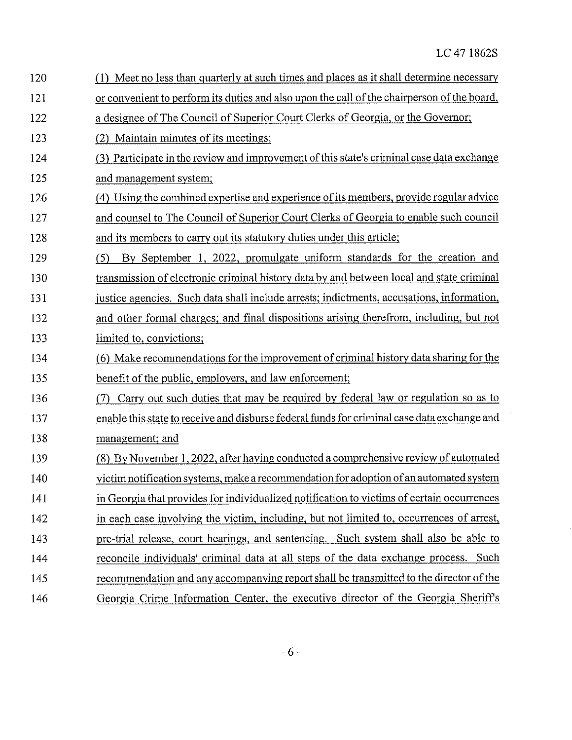$\ddot{\phantom{a}}$ 

| 120 | (1) Meet no less than quarterly at such times and places as it shall determine necessary    |
|-----|---------------------------------------------------------------------------------------------|
| 121 | or convenient to perform its duties and also upon the call of the chairperson of the board, |
| 122 | a designee of The Council of Superior Court Clerks of Georgia, or the Governor;             |
| 123 | (2) Maintain minutes of its meetings;                                                       |
| 124 | (3) Participate in the review and improvement of this state's criminal case data exchange   |
| 125 | and management system;                                                                      |
| 126 | (4) Using the combined expertise and experience of its members, provide regular advice      |
| 127 | and counsel to The Council of Superior Court Clerks of Georgia to enable such council       |
| 128 | and its members to carry out its statutory duties under this article;                       |
| 129 | By September 1, 2022, promulgate uniform standards for the creation and<br>(5)              |
| 130 | transmission of electronic criminal history data by and between local and state criminal    |
| 131 | justice agencies. Such data shall include arrests; indictments, accusations, information,   |
| 132 | and other formal charges; and final dispositions arising therefrom, including, but not      |
| 133 | limited to, convictions;                                                                    |
| 134 | (6) Make recommendations for the improvement of criminal history data sharing for the       |
| 135 | benefit of the public, employers, and law enforcement;                                      |
| 136 | Carry out such duties that may be required by federal law or regulation so as to            |
| 137 | enable this state to receive and disburse federal funds for criminal case data exchange and |
| 138 | management; and                                                                             |
| 139 | (8) By November 1, 2022, after having conducted a comprehensive review of automated         |
| 140 | victim notification systems, make a recommendation for adoption of an automated system      |
| 141 | in Georgia that provides for individualized notification to victims of certain occurrences  |
| 142 | in each case involving the victim, including, but not limited to, occurrences of arrest,    |
| 143 | pre-trial release, court hearings, and sentencing. Such system shall also be able to        |
| 144 | reconcile individuals' criminal data at all steps of the data exchange process. Such        |
| 145 | recommendation and any accompanying report shall be transmitted to the director of the      |
| 146 | Georgia Crime Information Center, the executive director of the Georgia Sheriff's           |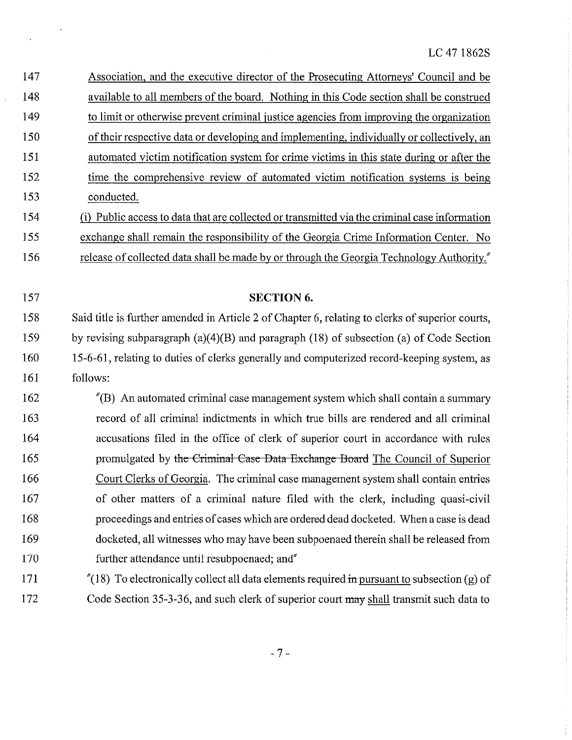| 147 | Association, and the executive director of the Prosecuting Attorneys' Council and be             |
|-----|--------------------------------------------------------------------------------------------------|
| 148 | available to all members of the board. Nothing in this Code section shall be construed           |
| 149 | to limit or otherwise prevent criminal justice agencies from improving the organization          |
| 150 | of their respective data or developing and implementing, individually or collectively, an        |
| 151 | automated victim notification system for crime victims in this state during or after the         |
| 152 | time the comprehensive review of automated victim notification systems is being                  |
| 153 | conducted.                                                                                       |
| 154 | (i) Public access to data that are collected or transmitted via the criminal case information    |
| 155 | exchange shall remain the responsibility of the Georgia Crime Information Center. No             |
| 156 | release of collected data shall be made by or through the Georgia Technology Authority."         |
|     |                                                                                                  |
| 157 | <b>SECTION 6.</b>                                                                                |
| 158 | Said title is further amended in Article 2 of Chapter 6, relating to clerks of superior courts,  |
| 159 | by revising subparagraph $(a)(4)(B)$ and paragraph $(18)$ of subsection $(a)$ of Code Section    |
| 160 | 15-6-61, relating to duties of clerks generally and computerized record-keeping system, as       |
| 161 | follows:                                                                                         |
| 162 | $^{\prime\prime}$ (B) An automated criminal case management system which shall contain a summary |
| 163 | record of all criminal indictments in which true bills are rendered and all criminal             |
| 164 | accusations filed in the office of clerk of superior court in accordance with rules              |
| 165 | promulgated by the Criminal Case Data Exchange Board The Council of Superior                     |
| 166 | Court Clerks of Georgia. The criminal case management system shall contain entries               |
| 167 | of other matters of a criminal nature filed with the clerk, including quasi-civil                |
| 168 | proceedings and entries of cases which are ordered dead docketed. When a case is dead            |
| 169 | docketed, all witnesses who may have been subpoenaed therein shall be released from              |
| 170 | further attendance until resubpoenaed; and"                                                      |
| 171 | $''(18)$ To electronically collect all data elements required in pursuant to subsection (g) of   |

 $\sim$ 

 $\ddot{\phantom{1}}$ 

 $\bar{\mathbf{v}}$ 

172 Code Section 35-3-36, and such clerk of superior court may shall transmit such data to

 $-7-$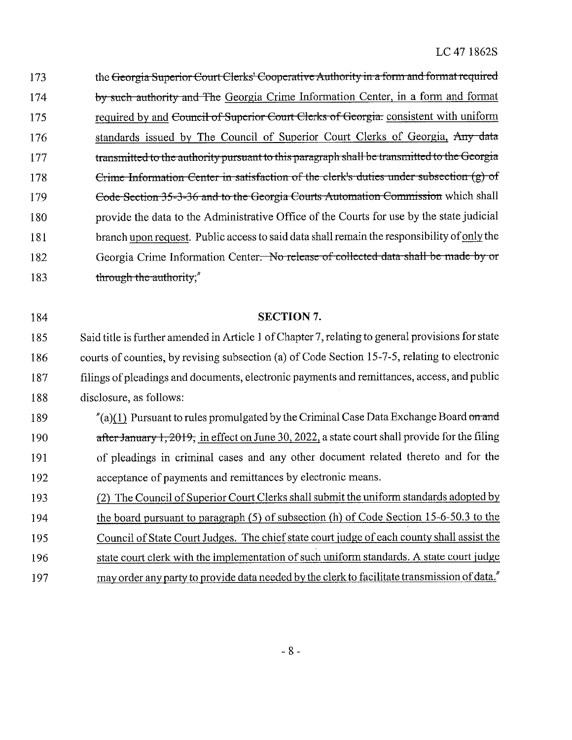173 the Georgia Superior Court Clerks' Cooperative Authority in a form and format required 174 by such-authority-and-The Georgia Crime Information Center, in a form and format 175 required by and <del>Council of Superior Court Clerks of Georgia:</del> consistent with uniform 176 standards issued by The Council of Superior Court Clerks of Georgia, Any-data 177 transmitted to the authority pursuant to this paragraph shall be transmitted to the Georgia 178 **Example-Europe Example 178** Externation-Center-in-satisfaction of the clerk's duties under subsection (g) of 179 Code Section 35-3-36 and to the Georgia Courts Automation Commission which shall 180 provide the data to the Administrative Office of the Courts for use by the state judicial 181 branch upon request. Public access to said data shall remain the responsibility of only the 182 Georgia Crime Information Center. No release of collected-data-shall be-made-by-or 183 through the authority;"

| 184 | <b>SECTION 7.</b>                                                                                 |
|-----|---------------------------------------------------------------------------------------------------|
| 185 | Said title is further amended in Article 1 of Chapter 7, relating to general provisions for state |
| 186 | courts of counties, by revising subsection (a) of Code Section 15-7-5, relating to electronic     |
| 187 | filings of pleadings and documents, electronic payments and remittances, access, and public       |
| 188 | disclosure, as follows:                                                                           |
| 189 | $''(a)(1)$ Pursuant to rules promulgated by the Criminal Case Data Exchange Board on and          |
| 190 | after January 1, 2019, in effect on June 30, 2022, a state court shall provide for the filing     |

| 191 | of pleadings in criminal cases and any other document related thereto and for the |
|-----|-----------------------------------------------------------------------------------|
| 192 | acceptance of payments and remittances by electronic means.                       |

193 (2) 'The CouncilofSuperior Court Clerks shall submit the uniform standards adopted by

194 the board pursuant to paragraph (5) of subsection (h) of Code Section 15-6-50.3 to the

195 Council of State Court Judges. The chief state court judge of each county shall assist the

- 196 state court clerk with the implementation of such uniform standards. A state court judge
- 197 may order any party to provide data needed by the clerk to facilitate transmission of data."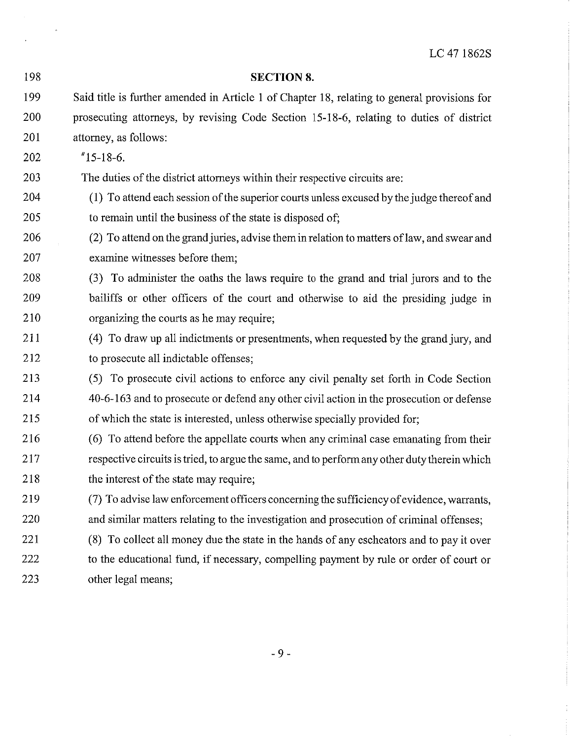| 198 | <b>SECTION 8.</b>                                                                            |
|-----|----------------------------------------------------------------------------------------------|
| 199 | Said title is further amended in Article 1 of Chapter 18, relating to general provisions for |
| 200 | prosecuting attorneys, by revising Code Section 15-18-6, relating to duties of district      |
| 201 | attorney, as follows:                                                                        |
| 202 | $"15-18-6.$                                                                                  |
| 203 | The duties of the district attorneys within their respective circuits are:                   |
| 204 | (1) To attend each session of the superior courts unless excused by the judge thereof and    |
| 205 | to remain until the business of the state is disposed of;                                    |
| 206 | (2) To attend on the grand juries, advise them in relation to matters of law, and swear and  |
| 207 | examine witnesses before them;                                                               |
| 208 | (3) To administer the oaths the laws require to the grand and trial jurors and to the        |
| 209 | bailiffs or other officers of the court and otherwise to aid the presiding judge in          |
| 210 | organizing the courts as he may require;                                                     |
| 211 | (4) To draw up all indictments or presentments, when requested by the grand jury, and        |
| 212 | to prosecute all indictable offenses;                                                        |
| 213 | (5) To prosecute civil actions to enforce any civil penalty set forth in Code Section        |
| 214 | 40-6-163 and to prosecute or defend any other civil action in the prosecution or defense     |
| 215 | of which the state is interested, unless otherwise specially provided for;                   |
| 216 | (6) To attend before the appellate courts when any criminal case emanating from their        |
| 217 | respective circuits is tried, to argue the same, and to perform any other duty therein which |
| 218 | the interest of the state may require;                                                       |
| 219 | (7) To advise law enforcement officers concerning the sufficiency of evidence, warrants,     |
| 220 | and similar matters relating to the investigation and prosecution of criminal offenses;      |
| 221 | (8) To collect all money due the state in the hands of any escheators and to pay it over     |
| 222 | to the educational fund, if necessary, compelling payment by rule or order of court or       |
| 223 | other legal means;                                                                           |

 $\label{eq:2.1} \frac{1}{\sqrt{2\pi}}\int_{0}^{\pi} \frac{dx}{\sqrt{2\pi}}\,dx$  where

 $-9-$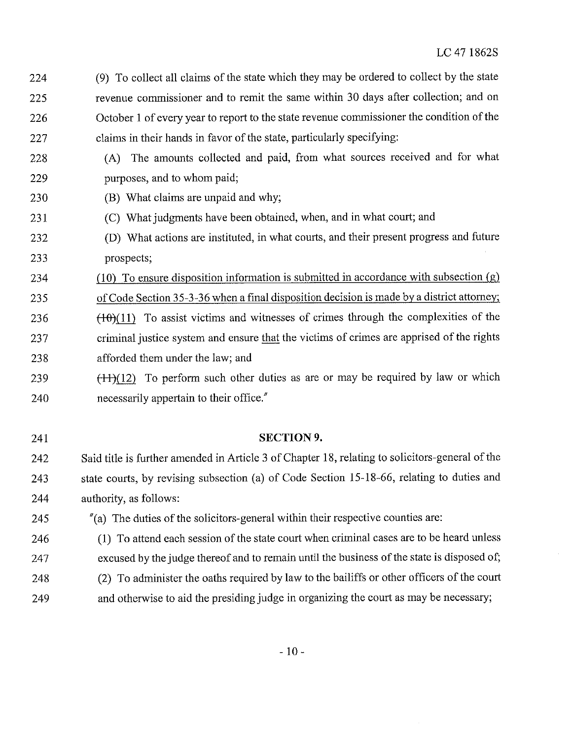- 24 (9) To collect all claimsof the state which they may be ordered to collect by the state 25 revenue commissioner and to remit the same within 30 days after collection; and on 226 October 1 of every year to report to the state revenue commissioner the condition of the 27 claims in their hands in favor of the state, particularly specifying:
- 228 (A) The amounts collected and paid, from what sources received and for what 229 **purposes**, and to whom paid;
- 230 (B) What claims are unpaid and why;

241 SECTION 9.

- 231 (C) What judgments have been obtained, when, and in what court; and
- 232 (D) What actions are instituted, in what courts, and their present progress and future 233 prospects;
- 234 (10) To ensure disposition information is submitted in accordance with subsection (g) 25 ofCode Section 35-3-36 when a final disposition decision is made by a district attorney;
- 236  $(10)(11)$  To assist victims and witnesses of crimes through the complexities of the 237 criminal justice system and ensure that the victims of crimes are apprised of the rights 238 afforded them under the law; and
- 239  $(+1)(12)$  To perform such other duties as are or may be required by law or which 240 necessarily appertain to their office.

242 Said title is further amended in Article 3 of Chapter 18, relating to solicitors-general of the 243 state courts, by revising subsection (a) of Code Section 15-18-66, relating to duties and 244 authority, as follows:

- 25 "(a) The duties of the solicitors-general within their respective counties arc:
- 246 (1) To attend each session of the state court when criminal cases are to be heard unless 247 excused by the judge thereof and to remain until the business of the state is disposed of;
- 248 (2) To administer the oaths required by law to the bailiffs or other officers of the court
- 249 and otherwise to aid the presiding judge in organizing the court as may be necessary;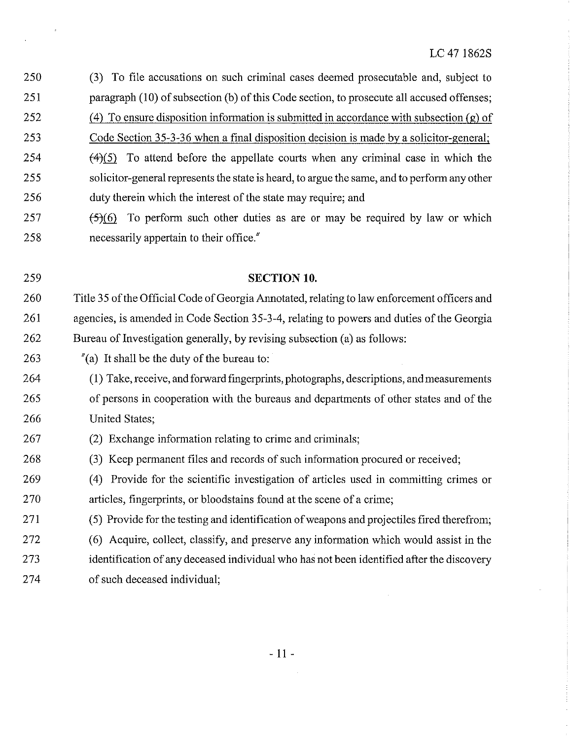251 paragraph (10) of subsection (b) of this Code section, to prosecute all accused offenses; 252 (4) To ensure disposition information is submitted in accordance with subsection (g) of 253 Code Section 35-3-36 when a final disposition decision is made by a solicitor-general; 254  $(4)(5)$  To attend before the appellate courts when any criminal case in which the 255 solicitor-general represents the state isheard,to argue the same, and to perform any other 256 duty therein which the interest of the state may require; and  $257$   $(5)(6)$  To perform such other duties as are or may be required by law or which 258 necessarily appertain to their office." 259 SECTION 10. 260 Title 35 of the Official Code of Georgia Annotated, relating to law enforcement officers and 261 agencies, is amended in Code Section 35-3-4, relating to powers and duties of the Georgia 262 Bureau of Investigation generally, by revising subsection (a) as follows: 263  $\frac{1}{2}$  (a) It shall be the duty of the bureau to: 264 (1) Take, receive, and forward fingerprints, photographs, descriptions, and measurements 265 of persons in cooperation with the bureaus and departments of other states and of the 266 United States; 267 (2) Exchange information relating to crime and criminals; 268 (3) Keep permanent files and records of such information procured or received; 269 (4) Provide for the scientific investigation of articles used in committing crimes or 270 articles, fingerprints, or bloodstains found at the scene of a crime; 271 (5) Provide for the testing and identification ofweapons and projectiles fired therefrom; 272 (6) Acquire, collect, classify, and preserve any information which would assist in the 273 identification of any deceased individual who has not been identified after the discovery 274 of such deceased individual;

250 (3) To file accusations on such criminal cases deemed prosecutable and, subject to

 $\mathfrak{g}$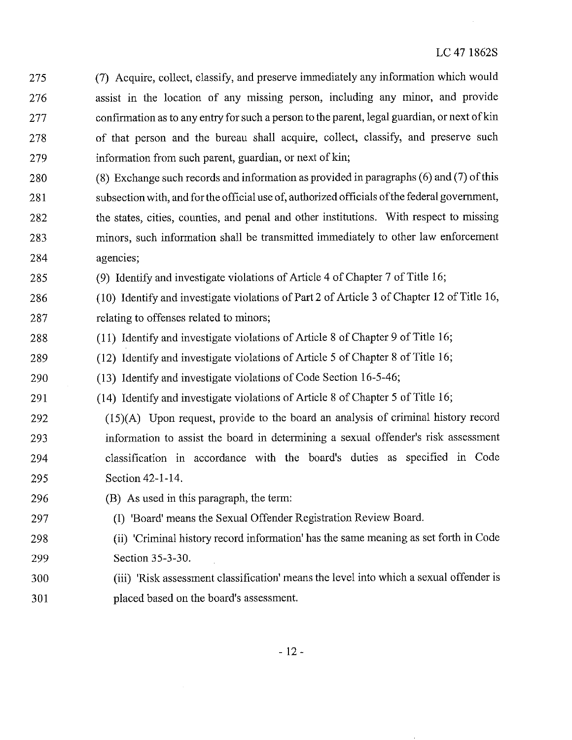- 275 (7) Acquire, collect, classify, and preserve immediately any information which would 276 assist in the location of any missing person, including any minor, and provide 277 confirmation as to any entry for such a person to the parent, legal guardian, or next of kin 278 of that person and the bureau shall acquire, collect, classify, and preserve such 279 information from such parent, guardian, or next of kin;
- 280 (8) Exchange such records and information as provided in paragraphs (6) and (7) ofthis 281 subsection with, and for the official use of, authorized officials of the federal government, 282 the states, cities, counties, and penal and other institutions. With respect to missing 23 minors, such information shall be transmitted immediately to other law enforcement 284 agencies;
- 285 (9) Identify and investigate violations of Article 4 of Chapter 7 of Title 16;
- 286 (10) Identify and investigate violations of Part 2 of Article 3 of Chapter 12 of Title 16, 287 relating to offenses related to minors;
- 288 (11) Identify and investigate violations of Article 8 of Chapter 9 of Title 16;
- 289 (12) Identify and investigate violations of Article 5 of Chapter 8 of Title 16;
- 290 (13) Identify and investigate violations of Code Section 16-5-46;
- 291 (14) Identify and investigate violations of Article 8 of Chapter 5 of Title 16;
- 292 (15)(A) Upon request, provide to the board an analysis of criminal history record 293 information to assist the board in determining a sexual offender's risk assessment 294 classification in accordance with the board's duties as specified in Code 295 Section 42-1-14.
- 296 (B) As used in this paragraph, the term:
- 297 (I) 'Board' means the Sexual Offender Registration Review Board.
- 298 (il) "Criminal history record information' has the same meaning as set forth in Code 299 Section 35-3-30.
- 300 (iii) "Risk assessment classification' means the level into which a sexual offender is 301 placed based on the board's assessment.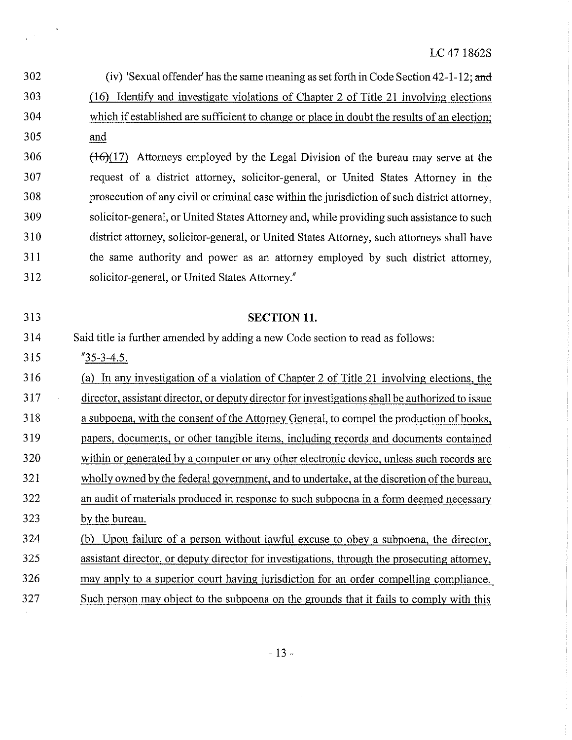$\mathcal{A}$ 

| 302 | (iv) 'Sexual offender' has the same meaning as set forth in Code Section $42-1-12$ ; and         |
|-----|--------------------------------------------------------------------------------------------------|
| 303 | Identify and investigate violations of Chapter 2 of Title 21 involving elections<br>(16)         |
| 304 | which if established are sufficient to change or place in doubt the results of an election;      |
| 305 | and                                                                                              |
| 306 | $(16)(17)$ Attorneys employed by the Legal Division of the bureau may serve at the               |
| 307 | request of a district attorney, solicitor-general, or United States Attorney in the              |
| 308 | prosecution of any civil or criminal case within the jurisdiction of such district attorney,     |
| 309 | solicitor-general, or United States Attorney and, while providing such assistance to such        |
| 310 | district attorney, solicitor-general, or United States Attorney, such attorneys shall have       |
| 311 | the same authority and power as an attorney employed by such district attorney,                  |
| 312 | solicitor-general, or United States Attorney."                                                   |
|     |                                                                                                  |
| 313 | <b>SECTION 11.</b>                                                                               |
| 314 | Said title is further amended by adding a new Code section to read as follows:                   |
|     |                                                                                                  |
| 315 | $"35-3-4.5.$                                                                                     |
| 316 | In any investigation of a violation of Chapter 2 of Title 21 involving elections, the<br>(a)     |
| 317 | director, assistant director, or deputy director for investigations shall be authorized to issue |
| 318 | a subpoena, with the consent of the Attorney General, to compel the production of books,         |
| 319 | papers, documents, or other tangible items, including records and documents contained            |
| 320 | within or generated by a computer or any other electronic device, unless such records are        |
| 321 | wholly owned by the federal government, and to undertake, at the discretion of the bureau,       |
| 322 | an audit of materials produced in response to such subpoena in a form deemed necessary           |
| 323 | by the bureau.                                                                                   |
| 324 | Upon failure of a person without lawful excuse to obey a subpoena, the director,<br>(b)          |
| 325 | assistant director, or deputy director for investigations, through the prosecuting attorney,     |
| 326 | may apply to a superior court having jurisdiction for an order compelling compliance.            |

 $\mathbb{R}^2$ 

 $\sim 10$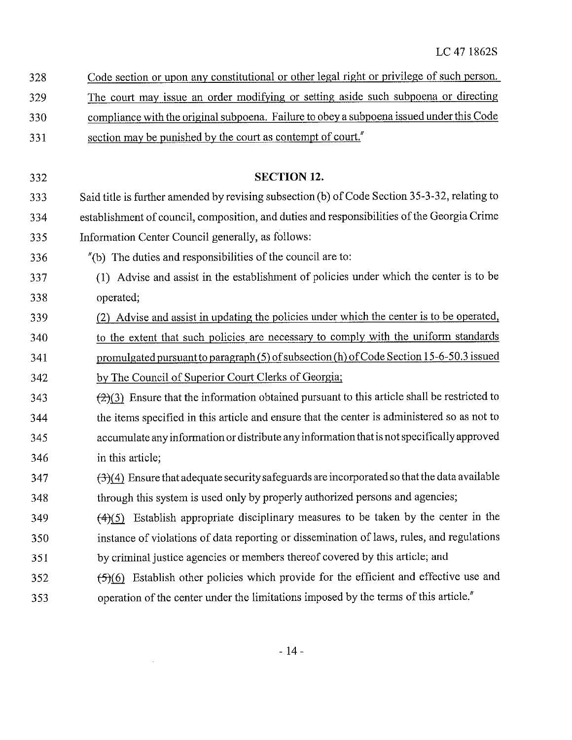| 328 | Code section or upon any constitutional or other legal right or privilege of such person. |  |  |  |  |
|-----|-------------------------------------------------------------------------------------------|--|--|--|--|

- 329 The court may issue an order modifying or setting aside such subpoena or directing
- 330 'compliance with the original subpoena. Failure to obeya subpoena issued under this Code
- 331 section may be punished by the court as contempt of court."

### 332 SECTION 12.

- 333 Said title is further amended by revising subsection (b) of Code Section 35-3-32, relating to 334 establishment of council, composition, and duties and responsibilitiesofthe Georgia Crime 335 Information Center Council generally, as follows:
- 336 "(b) The duties and responsibilities of the council are to:
- 337 (1) Advise and assist in the establishment of policies under which the center is to be 338 operated;
- 339 (2) Advise and assist in updating the policies under which the centeris to be operated, 340 fo the extent that such policies are necessary to comply with the uniform standards 341 bromulgated pursuant to paragraph (5) of subsection (h) of Code Section 15-6-50.3 issued 342 by The Council of Superior Court Clerks of Georgia;
- $\left( \frac{2}{2} \right)$  Ensure that the information obtained pursuant to this article shall be restricted to 344 the items specified in this article and ensure that the center is administered 50 as not to 345 accumulate any information or distribute any information that is not specifically approved 346 in this article;
- $347$   $(3)(4)$  Ensure that adequate security safeguards are incorporated so that the data available 348 through this system is used only by properly authorized persons and agencies;
- $349$   $(4)(5)$  Establish appropriate disciplinary measures to be taken by the center in the 350 instance of violations of data reporting or dissemination of laws, rules, and regulations
- 351 by criminal justice agencies or members thereof covered by this article; and
- $352$   $(5)(6)$  Establish other policies which provide for the efficient and effective use and 353 operation of the center under the limitations imposed by the terms of this article."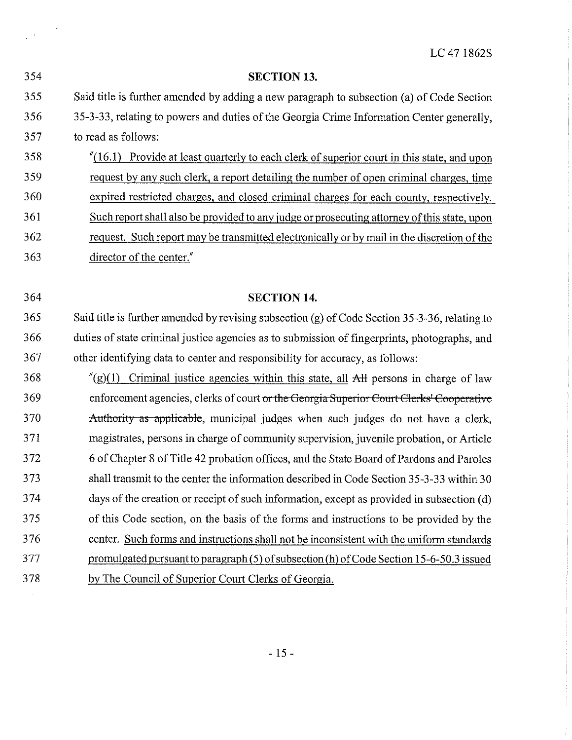SECTION 13. Said title is further amended by adding a new paragraph to subsection (a)of Code Section 353-33, relating to powers and dutiesof the Georgia Crime Information Center generally, toreadas follows:  $\frac{1}{16.1}$  Provide at least quarterly to each clerk of superior court in this state, and upon request by any such clerk, a report detailing the number of open criminal charges, time expired restricted charges, and closed criminal charges for each county, respectively. 361 Such report shall also be provided to any judge or prosecuting attorney of this state, upon

362 request. Such report may be transmitted electronically or by mail inthe discretionof the 363 director of the center."

 $\langle \hat{A} \rangle$ 

#### 364 SECTION 14.

365 Said title is further amended by revising subsection (g) of Code Section 35-3-36, relating to 366 duties of state criminal justice agencies as to submission of fingerprints, photographs, and 367 other identifying data to center and responsibility for accuracy, as follows:

368 " $\ell(g)(1)$  Criminal justice agencies within this state, all AH persons in charge of law 369 enforcement agencies, clerks of court or the Georgia Superior Court Clerks' Cooperative 370 Authority as applicable, municipal judges when such judges do not have a clerk, 371 'magistrates, persons in charge of community supervision, juvenile probation, or Article 372 6 of Chapter 8ofTitle 42 probation offices, and the State Board of Pardons and Paroles 373 shall transmit to the center the information described in Code Section 35-3-33 within 30 374 daysof the creation or receiptof such information, except as provided in subsection (d) 375 of this Code section, on the basis of the forms and instructions to be provided by the 376 center. Such forms and instructions shall not be inconsistent with the uniform standards 377 promulgated pursuant to paragraph (5) of subsection (h) of Code Section 15-6-50.3 issued 378 by The Councilof Superior Court Clerks of Georgia.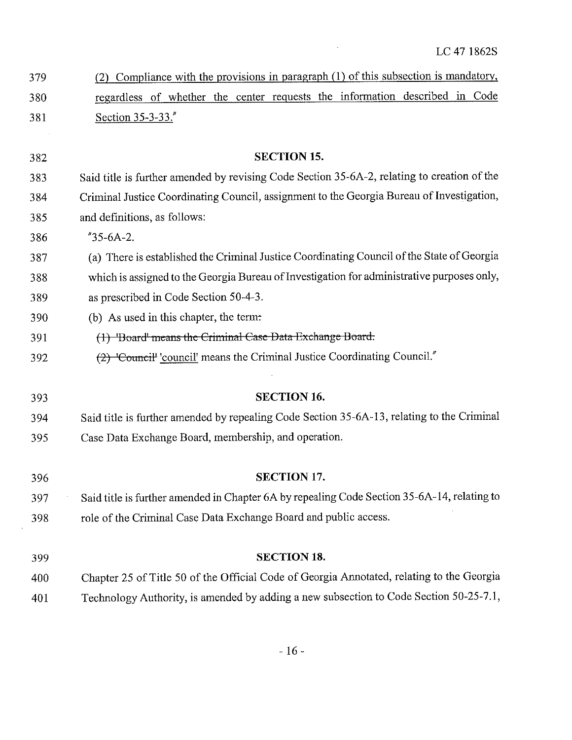| 379 | (2) Compliance with the provisions in paragraph (1) of this subsection is mandatory, |
|-----|--------------------------------------------------------------------------------------|
| 380 | regardless of whether the center requests the information described in Code          |
| 381 | Section $35-3-33$ .                                                                  |

 SECTION 15. Said title is further amended by revising Code Section 35-6A-2, relating to creation of the Criminal Justice Coordinating Council, assignment to the Georgia Bureau of Investigation, and definitions, as follows: "35.6A-2. (a) There is established the Criminal Justice Coordinating Councilofthe StateofGeorgia

- 'whichis assigned to the Georgia BureauofInvestigation for administrative purposes only,
- as prescribed in Code Section 50-4-3.
- (b) As used in this chapter, the term:
- 391 (1) 'Board' means the Criminal Case Data Exchange Board:
- €2)-\*Eouncit 'council' means the Criminal Justice Coordinating Council."
- SECTION 16. Said title is further amended by repealing Code Section 35-6A-13, relating to the Criminal Case Data Exchange Board, membership, and operation.
- SECTION 17. Saidtitle is further amended in Chapter 6A by repealing Code Section 35-6A-14, relatingto role of the Criminal Case Data Exchange Board and public access.
- SECTION 18. Chapter 25 of Title 50 of the Official Code of Georgia Annotated, relating to the Georgia Technology Authority, is amended by adding a new subsection to Code Section 50-25-71,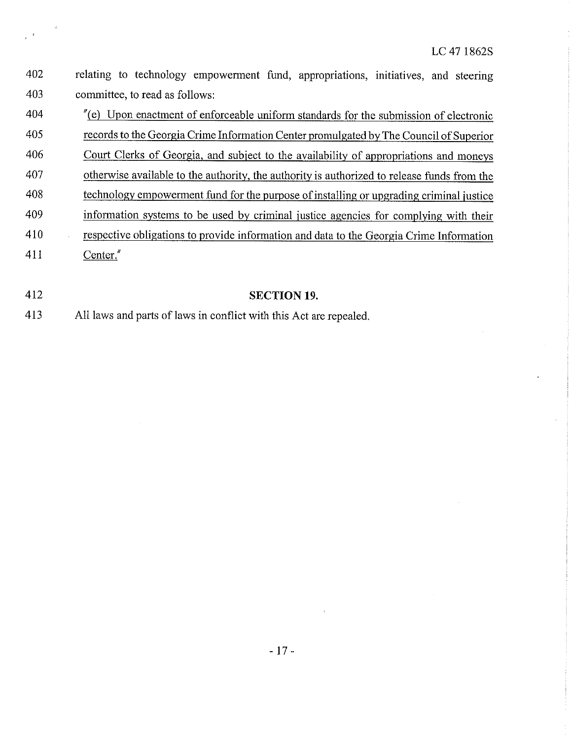| 402 | relating to technology empowerment fund, appropriations, initiatives, and steering                     |
|-----|--------------------------------------------------------------------------------------------------------|
| 403 | committee, to read as follows:                                                                         |
| 404 | $^{\prime\prime}$ (e) Upon enactment of enforceable uniform standards for the submission of electronic |
| 405 | records to the Georgia Crime Information Center promulgated by The Council of Superior                 |
| 406 | Court Clerks of Georgia, and subject to the availability of appropriations and moneys                  |
| 407 | otherwise available to the authority, the authority is authorized to release funds from the            |
| 408 | technology empowerment fund for the purpose of installing or upgrading criminal justice                |
| 409 | information systems to be used by criminal justice agencies for complying with their                   |
| 410 | respective obligations to provide information and data to the Georgia Crime Information                |
| 411 | Center."                                                                                               |
|     |                                                                                                        |

# 412 SECTION 19.

413 Alllaws and parts of laws in conflict with this Act are repealed.

 $\bar{\psi}$